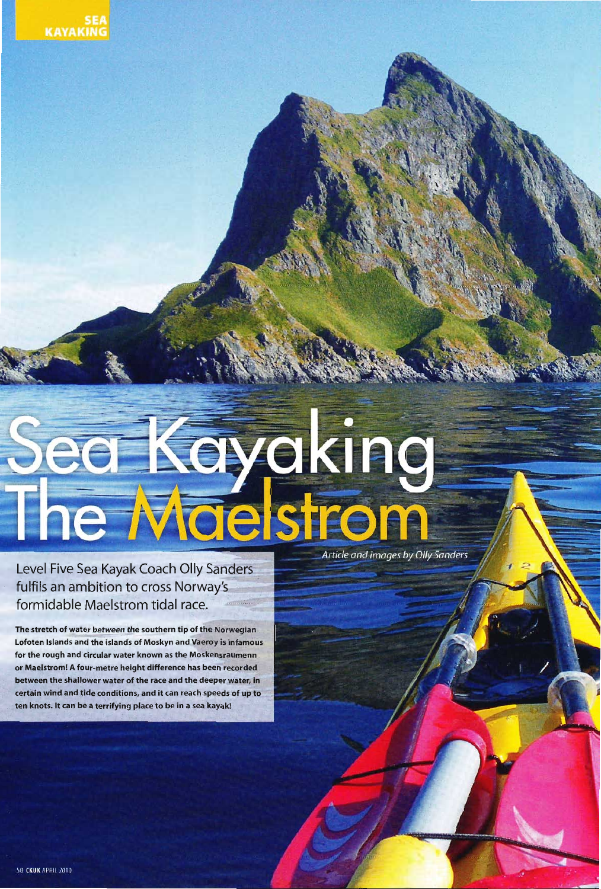# Sea Kayaking<br>The Maelstrom

Level Five Sea Kayak Coach Olly Sanders fulfils an ambition to cross Norway's formidable Maelstrom tidal race.

The stretch of water between the southern tip of the Norwegian Lofoten Islands and the islands of Moskyn and Vaeroy is infamous for the rough and circular water known as the Moskensraumenn or Maelstrom! A four-metre height difference has been recorded between the shallower water of the race and the deeper water, in certain wind and tide conditions, and it can reach speeds of up to ten knots. It can be a terrifying place to be in a sea kayak!

**Article and images by Olly Sanders**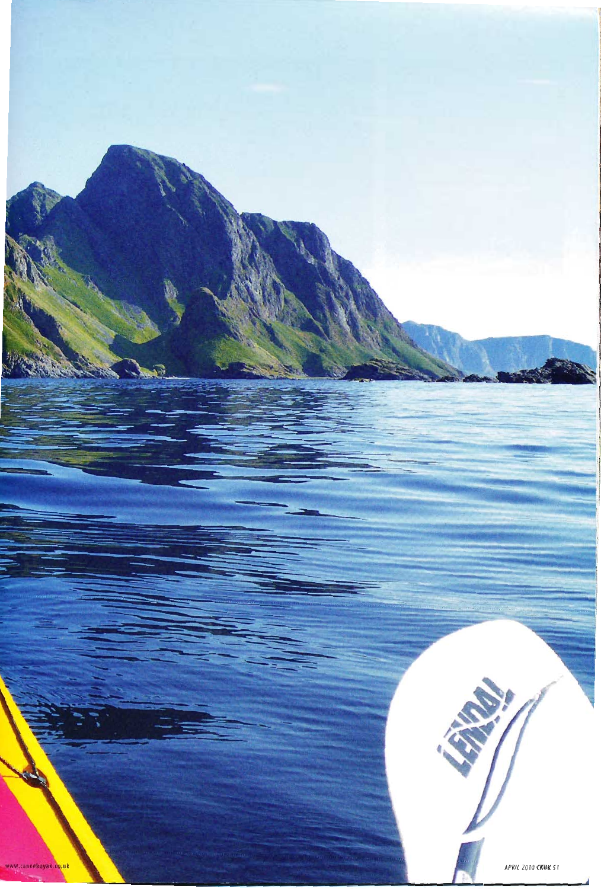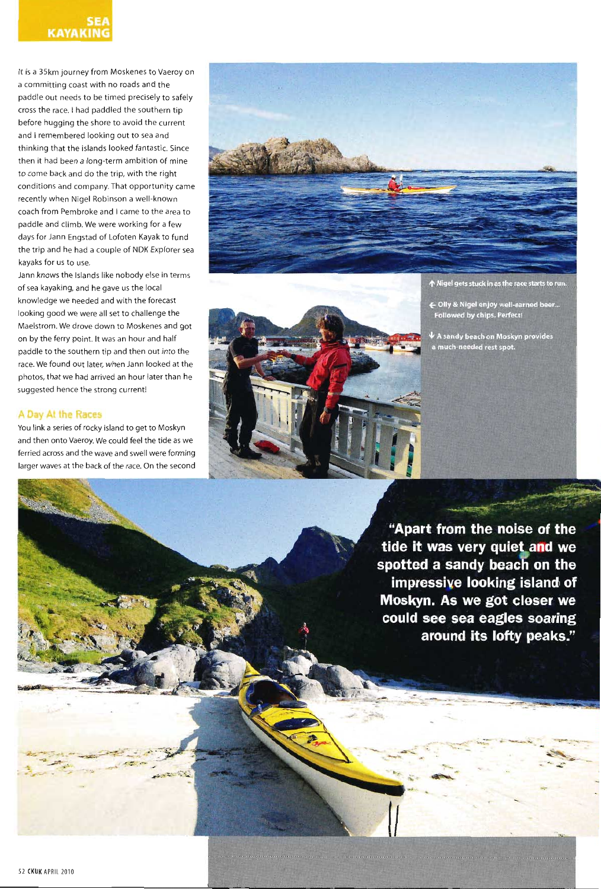

It is a 35km journey from Moskenes to Vaeroy on a committing coast with no roads and the paddle out needs to be timed precisely to safely cross the race. I had paddled the southern tip before hugging the shore to avoid the current and I remembered looking out to sea and thinking that the islands looked fantastic. Since then it had been a long-term ambition of mine to come back and do the trip, with the right conditions and company. That opportunity came recently when Nigel Robinson a well-known coach from Pembroke and I came to the area to paddle and climb. We were working for a few days for Jann Engstad of Lofoten Kayak to fund the trip and he had a couple of NDK Explorer sea kayaks for us to use.

Jann knows the lslands like nobody else in terms of sea kayaking, and he gave us the local knowledge we needed and with the forecast looking good we were all set to challenge the Maelstrom. We drove down to Moskenes and got on by the ferry point. lt was an hour and half paddle to the southern tip and then out into the race. We found out later, when Jann looked at the photos, that we had arrived an hour later than he suggested hence the strong current!

## A Day At the Races

You link a series of rocky island to get to Moskyn and then onto Vaeroy. We could feel the tide as we ferried across and the wave and swell were forming larger waves at the back of the race. On the second

-,::\*r,i, -1 'r a\*"+e,t{ii



- ↑ Nigel gets stuck in as the race starts to run.
- ← Olly & Nigel enjoy well-earned beer...<br>Followed by chips. Perfect!
- $\blacklozenge$  A sandy beach on Moskyn provides a much-needed rest spot.

"Apart from the noise of the tide it was very quiet and we spotted a sandy beach on the impressive looking island of Moskyn. As we got closer we could see sea eagles soaring around its lofty peaks."

 $\leq$ 

 $\mathcal{F}$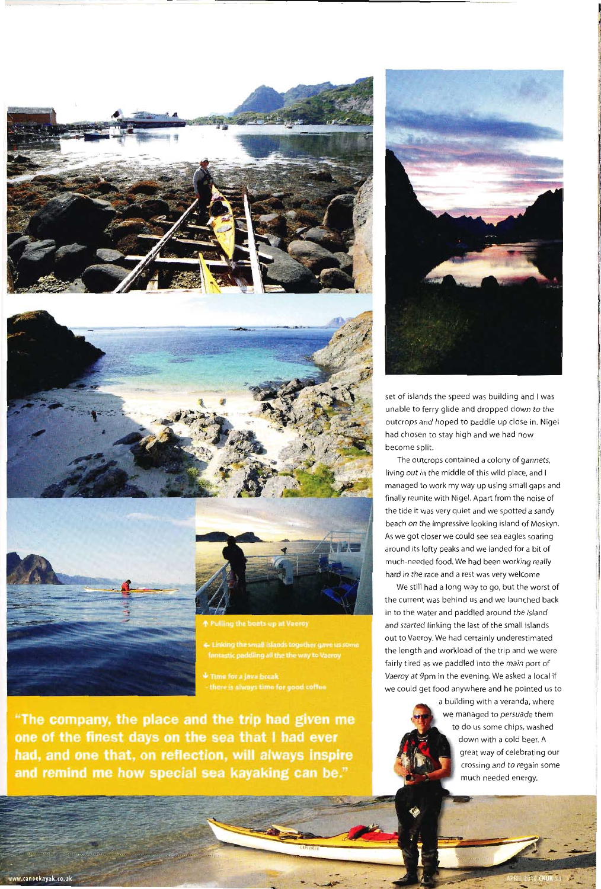





ng the boats up at Vaeroy

"The company, the place and the trip had given me one of the finest days on the sea that I had ever had, and one that, on reflection, will always inspire and remind me how special sea kavaking can be."



set of islands the speed was building and I was unable to ferry glide and dropped down to the outcrops and hoped to paddle up close in. Nigel had chosen to stay high and we had now become split.

The outcrops contained a colony of gannets, living out in the middle of this wild place, and I managed to work my way up using small gaps and finally reunite with Nigel. Apart from the noise of the tide it was very quiet and we spotted a sandy beach on the impressive looking island of Moskyn. As we got closer we could see sea eagles soaring around its lofty peaks and we landed for a bit of much-needed food.We had been working really hard in the race and a rest was very welcome

We still had a long way to go, but the worst of the current was behind us and we launched back in to the water and paddled around the island and started linking the last of the small islands out to Vaeroy. We had certainly underestimated the length and workload of the trip and we were fairly tired as we paddled into the main port of Vaeroy at 9pm in the evenlng. We asked a local if we could get food anywhere and he pointed us to

a building with a veranda, where we managed to persuade them to do us some chips, washed down with a cold beer. A great way of celebrating our crossing and to regain some much needed energy.